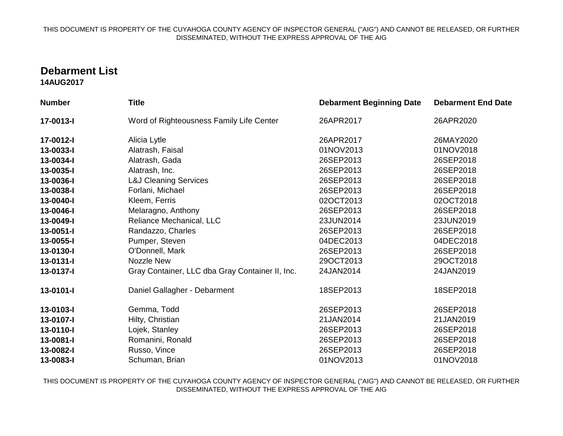## THIS DOCUMENT IS PROPERTY OF THE CUYAHOGA COUNTY AGENCY OF INSPECTOR GENERAL ("AIG") AND CANNOT BE RELEASED, OR FURTHER DISSEMINATED, WITHOUT THE EXPRESS APPROVAL OF THE AIG

## **Debarment List**

**14AUG2017**

| <b>Number</b> | <b>Title</b>                                    | <b>Debarment Beginning Date</b> | <b>Debarment End Date</b> |
|---------------|-------------------------------------------------|---------------------------------|---------------------------|
| 17-0013-I     | Word of Righteousness Family Life Center        | 26APR2017                       | 26APR2020                 |
| 17-0012-I     | Alicia Lytle                                    | 26APR2017                       | 26MAY2020                 |
| 13-0033-I     | Alatrash, Faisal                                | 01NOV2013                       | 01NOV2018                 |
| 13-0034-I     | Alatrash, Gada                                  | 26SEP2013                       | 26SEP2018                 |
| 13-0035-I     | Alatrash, Inc.                                  | 26SEP2013                       | 26SEP2018                 |
| 13-0036-I     | <b>L&amp;J Cleaning Services</b>                | 26SEP2013                       | 26SEP2018                 |
| 13-0038-I     | Forlani, Michael                                | 26SEP2013                       | 26SEP2018                 |
| 13-0040-l     | Kleem, Ferris                                   | 02OCT2013                       | 02OCT2018                 |
| 13-0046-I     | Melaragno, Anthony                              | 26SEP2013                       | 26SEP2018                 |
| 13-0049-I     | Reliance Mechanical, LLC                        | 23JUN2014                       | 23JUN2019                 |
| 13-0051-I     | Randazzo, Charles                               | 26SEP2013                       | 26SEP2018                 |
| 13-0055-I     | Pumper, Steven                                  | 04DEC2013                       | 04DEC2018                 |
| 13-0130-l     | O'Donnell, Mark                                 | 26SEP2013                       | 26SEP2018                 |
| 13-0131-l     | <b>Nozzle New</b>                               | 29OCT2013                       | 29OCT2018                 |
| 13-0137-l     | Gray Container, LLC dba Gray Container II, Inc. | 24JAN2014                       | 24JAN2019                 |
| 13-0101-I     | Daniel Gallagher - Debarment                    | 18SEP2013                       | 18SEP2018                 |
| 13-0103-l     | Gemma, Todd                                     | 26SEP2013                       | 26SEP2018                 |
| 13-0107-l     | Hilty, Christian                                | 21JAN2014                       | 21JAN2019                 |
| 13-0110-I     | Lojek, Stanley                                  | 26SEP2013                       | 26SEP2018                 |
| 13-0081-I     | Romanini, Ronald                                | 26SEP2013                       | 26SEP2018                 |
| 13-0082-I     | Russo, Vince                                    | 26SEP2013                       | 26SEP2018                 |
| 13-0083-I     | Schuman, Brian                                  | 01NOV2013                       | 01NOV2018                 |

THIS DOCUMENT IS PROPERTY OF THE CUYAHOGA COUNTY AGENCY OF INSPECTOR GENERAL ("AIG") AND CANNOT BE RELEASED, OR FURTHER DISSEMINATED, WITHOUT THE EXPRESS APPROVAL OF THE AIG